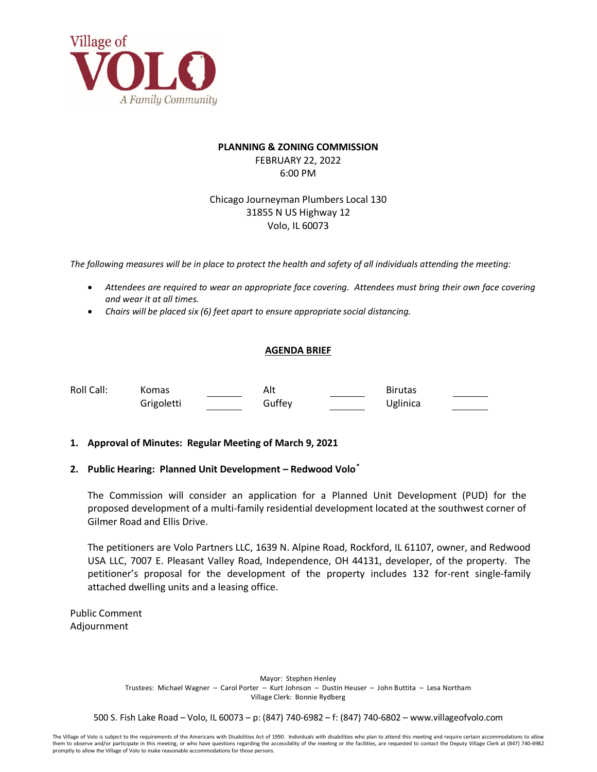

## **PLANNING & ZONING COMMISSION** FEBRUARY 22, 2022 6:00 PM

Chicago Journeyman Plumbers Local 130 31855 N US Highway 12 Volo, IL 60073

*The following measures will be in place to protect the health and safety of all individuals attending the meeting:*

- *Attendees are required to wear an appropriate face covering. Attendees must bring their own face covering and wear it at all times.*
- *Chairs will be placed six (6) feet apart to ensure appropriate social distancing.*

## **AGENDA BRIEF**

Roll Call: Komas Alt Alt Birutas Grigoletti Guffey Guffey Uglinica

## **1. Approval of Minutes: Regular Meeting of March 9, 2021**

## **2. Public Hearing: Planned Unit Development – Redwood Volo[\\*](#page-1-0)**

The Commission will consider an application for a Planned Unit Development (PUD) for the proposed development of a multi-family residential development located at the southwest corner of Gilmer Road and Ellis Drive.

The petitioners are Volo Partners LLC, 1639 N. Alpine Road, Rockford, IL 61107, owner, and Redwood USA LLC, 7007 E. Pleasant Valley Road, Independence, OH 44131, developer, of the property. The petitioner's proposal for the development of the property includes 132 for-rent single-family attached dwelling units and a leasing office.

Public Comment Adjournment

> Mayor: Stephen Henley Trustees: Michael Wagner – Carol Porter – Kurt Johnson – Dustin Heuser – John Buttita – Lesa Northam Village Clerk: Bonnie Rydberg

500 S. Fish Lake Road – Volo, IL 60073 – p: (847) 740-6982 – f: (847) 740-6802 – www.villageofvolo.com